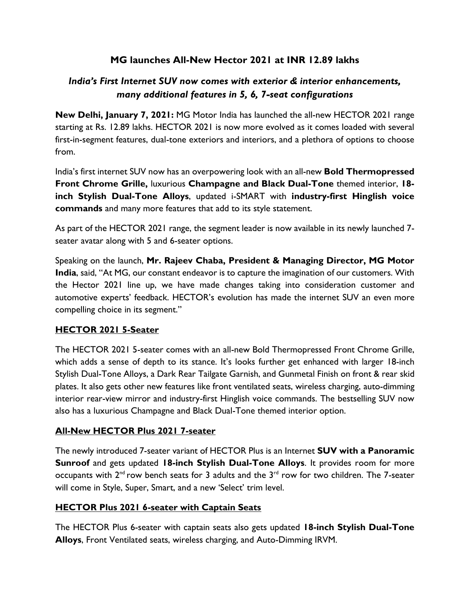## **MG launches All-New Hector 2021 at INR 12.89 lakhs**

# *India's First Internet SUV now comes with exterior & interior enhancements, many additional features in 5, 6, 7-seat configurations*

**New Delhi, January 7, 2021:** MG Motor India has launched the all-new HECTOR 2021 range starting at Rs. 12.89 lakhs. HECTOR 2021 is now more evolved as it comes loaded with several first-in-segment features, dual-tone exteriors and interiors, and a plethora of options to choose from.

India's first internet SUV now has an overpowering look with an all-new **Bold Thermopressed Front Chrome Grille,** luxurious **Champagne and Black Dual-Tone** themed interior, **18 inch Stylish Dual-Tone Alloys**, updated i-SMART with **industry-first Hinglish voice commands** and many more features that add to its style statement.

As part of the HECTOR 2021 range, the segment leader is now available in its newly launched 7 seater avatar along with 5 and 6-seater options.

Speaking on the launch, **Mr. Rajeev Chaba, President & Managing Director, MG Motor India**, said, "At MG, our constant endeavor is to capture the imagination of our customers. With the Hector 2021 line up, we have made changes taking into consideration customer and automotive experts' feedback. HECTOR's evolution has made the internet SUV an even more compelling choice in its segment."

### **HECTOR 2021 5-Seater**

The HECTOR 2021 5-seater comes with an all-new Bold Thermopressed Front Chrome Grille, which adds a sense of depth to its stance. It's looks further get enhanced with larger 18-inch Stylish Dual-Tone Alloys, a Dark Rear Tailgate Garnish, and Gunmetal Finish on front & rear skid plates. It also gets other new features like front ventilated seats, wireless charging, auto-dimming interior rear-view mirror and industry-first Hinglish voice commands. The bestselling SUV now also has a luxurious Champagne and Black Dual-Tone themed interior option.

#### **All-New HECTOR Plus 2021 7-seater**

The newly introduced 7-seater variant of HECTOR Plus is an Internet **SUV with a Panoramic Sunroof** and gets updated **18-inch Stylish Dual-Tone Alloys**. It provides room for more occupants with  $2^{nd}$  row bench seats for 3 adults and the  $3^{rd}$  row for two children. The 7-seater will come in Style, Super, Smart, and a new 'Select' trim level.

#### **HECTOR Plus 2021 6-seater with Captain Seats**

The HECTOR Plus 6-seater with captain seats also gets updated **18-inch Stylish Dual-Tone Alloys**, Front Ventilated seats, wireless charging, and Auto-Dimming IRVM.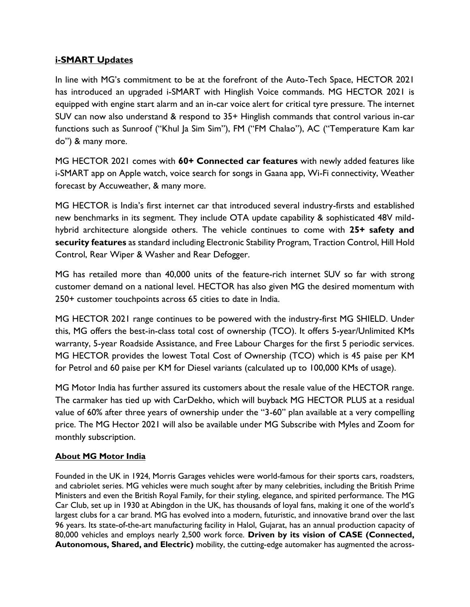### **i-SMART Updates**

In line with MG's commitment to be at the forefront of the Auto-Tech Space, HECTOR 2021 has introduced an upgraded i-SMART with Hinglish Voice commands. MG HECTOR 2021 is equipped with engine start alarm and an in-car voice alert for critical tyre pressure. The internet SUV can now also understand & respond to 35+ Hinglish commands that control various in-car functions such as Sunroof ("Khul Ja Sim Sim"), FM ("FM Chalao"), AC ("Temperature Kam kar do") & many more.

MG HECTOR 2021 comes with **60+ Connected car features** with newly added features like i-SMART app on Apple watch, voice search for songs in Gaana app, Wi-Fi connectivity, Weather forecast by Accuweather, & many more.

MG HECTOR is India's first internet car that introduced several industry-firsts and established new benchmarks in its segment. They include OTA update capability & sophisticated 48V mildhybrid architecture alongside others. The vehicle continues to come with **25+ safety and security features** as standard including Electronic Stability Program, Traction Control, Hill Hold Control, Rear Wiper & Washer and Rear Defogger.

MG has retailed more than 40,000 units of the feature-rich internet SUV so far with strong customer demand on a national level. HECTOR has also given MG the desired momentum with 250+ customer touchpoints across 65 cities to date in India.

MG HECTOR 2021 range continues to be powered with the industry-first MG SHIELD. Under this, MG offers the best-in-class total cost of ownership (TCO). It offers 5-year/Unlimited KMs warranty, 5-year Roadside Assistance, and Free Labour Charges for the first 5 periodic services. MG HECTOR provides the lowest Total Cost of Ownership (TCO) which is 45 paise per KM for Petrol and 60 paise per KM for Diesel variants (calculated up to 100,000 KMs of usage).

MG Motor India has further assured its customers about the resale value of the HECTOR range. The carmaker has tied up with CarDekho, which will buyback MG HECTOR PLUS at a residual value of 60% after three years of ownership under the "3-60" plan available at a very compelling price. The MG Hector 2021 will also be available under MG Subscribe with Myles and Zoom for monthly subscription.

#### **About MG Motor India**

Founded in the UK in 1924, Morris Garages vehicles were world-famous for their sports cars, roadsters, and cabriolet series. MG vehicles were much sought after by many celebrities, including the British Prime Ministers and even the British Royal Family, for their styling, elegance, and spirited performance. The MG Car Club, set up in 1930 at Abingdon in the UK, has thousands of loyal fans, making it one of the world's largest clubs for a car brand. MG has evolved into a modern, futuristic, and innovative brand over the last 96 years. Its state-of-the-art manufacturing facility in Halol, Gujarat, has an annual production capacity of 80,000 vehicles and employs nearly 2,500 work force. **Driven by its vision of CASE (Connected, Autonomous, Shared, and Electric)** mobility, the cutting-edge automaker has augmented the across-